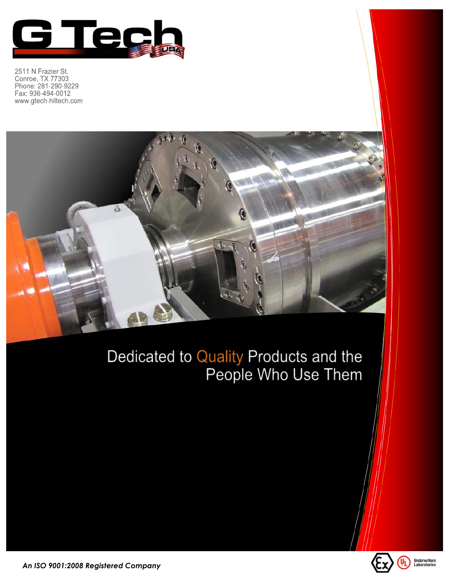

2511 N Frazier St. Conroe, TX 77303<br>Phone: 281-290-9229 Fax: 936-494-0012 www.gtech-hiltech.com



## Dedicated to Quality Products and the<br>People Who Use Them



An ISO 9001:2008 Registered Company